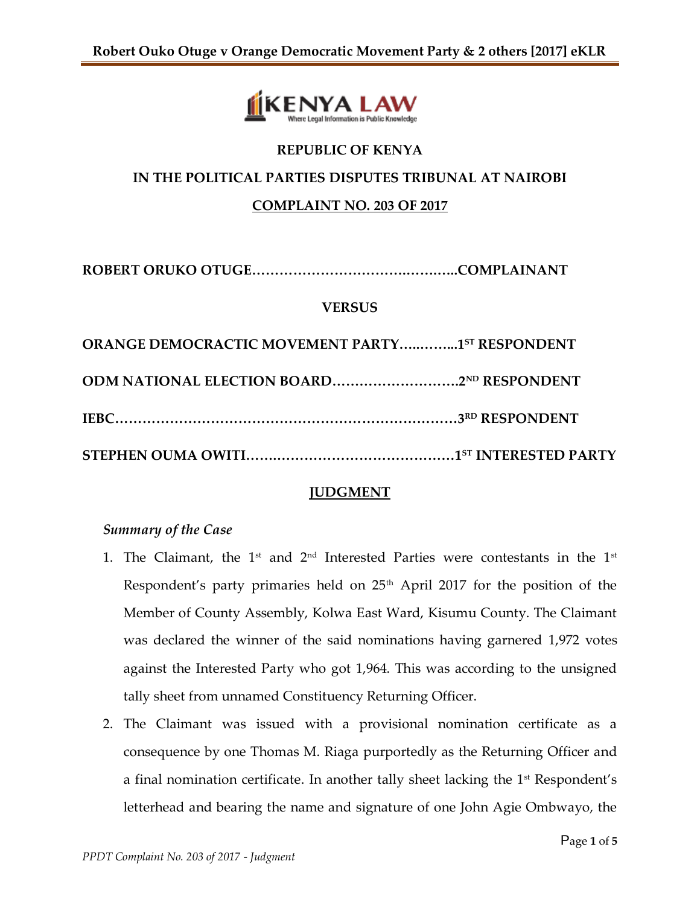

# **REPUBLIC OF KENYA IN THE POLITICAL PARTIES DISPUTES TRIBUNAL AT NAIROBI COMPLAINT NO. 203 OF 2017**

**ROBERT ORUKO OTUGE…………………………….…….…..COMPLAINANT**

#### **VERSUS**

| ORANGE DEMOCRACTIC MOVEMENT PARTY1ST RESPONDENT |
|-------------------------------------------------|
|                                                 |
|                                                 |
|                                                 |

## **JUDGMENT**

## *Summary of the Case*

- 1. The Claimant, the  $1^{st}$  and  $2^{nd}$  Interested Parties were contestants in the  $1^{st}$ Respondent's party primaries held on 25<sup>th</sup> April 2017 for the position of the Member of County Assembly, Kolwa East Ward, Kisumu County. The Claimant was declared the winner of the said nominations having garnered 1,972 votes against the Interested Party who got 1,964. This was according to the unsigned tally sheet from unnamed Constituency Returning Officer.
- 2. The Claimant was issued with a provisional nomination certificate as a consequence by one Thomas M. Riaga purportedly as the Returning Officer and a final nomination certificate. In another tally sheet lacking the  $1<sup>st</sup>$  Respondent's letterhead and bearing the name and signature of one John Agie Ombwayo, the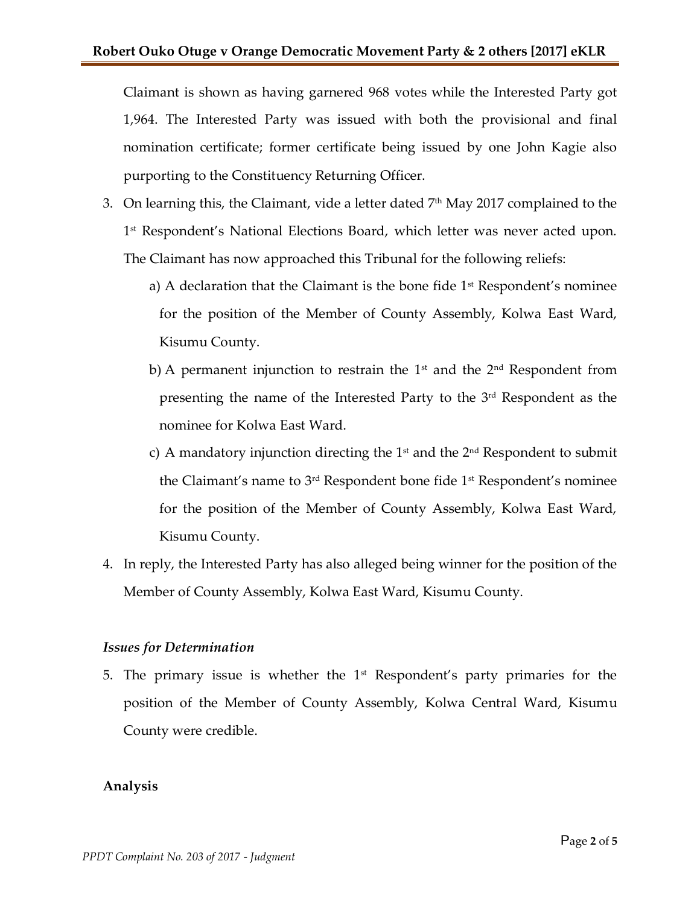Claimant is shown as having garnered 968 votes while the Interested Party got 1,964. The Interested Party was issued with both the provisional and final nomination certificate; former certificate being issued by one John Kagie also purporting to the Constituency Returning Officer.

- 3. On learning this, the Claimant, vide a letter dated  $7<sup>th</sup>$  May 2017 complained to the 1 st Respondent's National Elections Board, which letter was never acted upon. The Claimant has now approached this Tribunal for the following reliefs:
	- a) A declaration that the Claimant is the bone fide  $1<sup>st</sup>$  Respondent's nominee for the position of the Member of County Assembly, Kolwa East Ward, Kisumu County.
	- b) A permanent injunction to restrain the  $1<sup>st</sup>$  and the  $2<sup>nd</sup>$  Respondent from presenting the name of the Interested Party to the 3rd Respondent as the nominee for Kolwa East Ward.
	- c) A mandatory injunction directing the  $1<sup>st</sup>$  and the  $2<sup>nd</sup>$  Respondent to submit the Claimant's name to 3<sup>rd</sup> Respondent bone fide 1<sup>st</sup> Respondent's nominee for the position of the Member of County Assembly, Kolwa East Ward, Kisumu County.
- 4. In reply, the Interested Party has also alleged being winner for the position of the Member of County Assembly, Kolwa East Ward, Kisumu County.

## *Issues for Determination*

5. The primary issue is whether the  $1<sup>st</sup>$  Respondent's party primaries for the position of the Member of County Assembly, Kolwa Central Ward, Kisumu County were credible.

## **Analysis**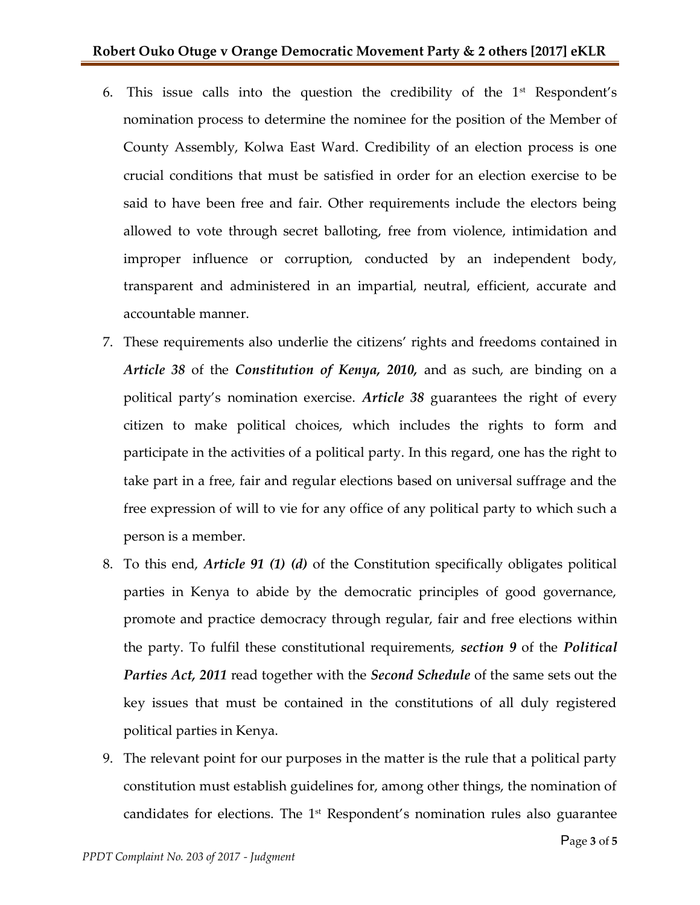- 6. This issue calls into the question the credibility of the  $1<sup>st</sup>$  Respondent's nomination process to determine the nominee for the position of the Member of County Assembly, Kolwa East Ward. Credibility of an election process is one crucial conditions that must be satisfied in order for an election exercise to be said to have been free and fair. Other requirements include the electors being allowed to vote through secret balloting, free from violence, intimidation and improper influence or corruption, conducted by an independent body, transparent and administered in an impartial, neutral, efficient, accurate and accountable manner.
- 7. These requirements also underlie the citizens' rights and freedoms contained in *Article 38* of the *Constitution of Kenya, 2010,* and as such, are binding on a political party's nomination exercise. *Article 38* guarantees the right of every citizen to make political choices, which includes the rights to form and participate in the activities of a political party. In this regard, one has the right to take part in a free, fair and regular elections based on universal suffrage and the free expression of will to vie for any office of any political party to which such a person is a member.
- 8. To this end, *Article 91 (1) (d)* of the Constitution specifically obligates political parties in Kenya to abide by the democratic principles of good governance, promote and practice democracy through regular, fair and free elections within the party. To fulfil these constitutional requirements, *section 9* of the *Political Parties Act, 2011* read together with the *Second Schedule* of the same sets out the key issues that must be contained in the constitutions of all duly registered political parties in Kenya.
- 9. The relevant point for our purposes in the matter is the rule that a political party constitution must establish guidelines for, among other things, the nomination of candidates for elections. The  $1<sup>st</sup>$  Respondent's nomination rules also guarantee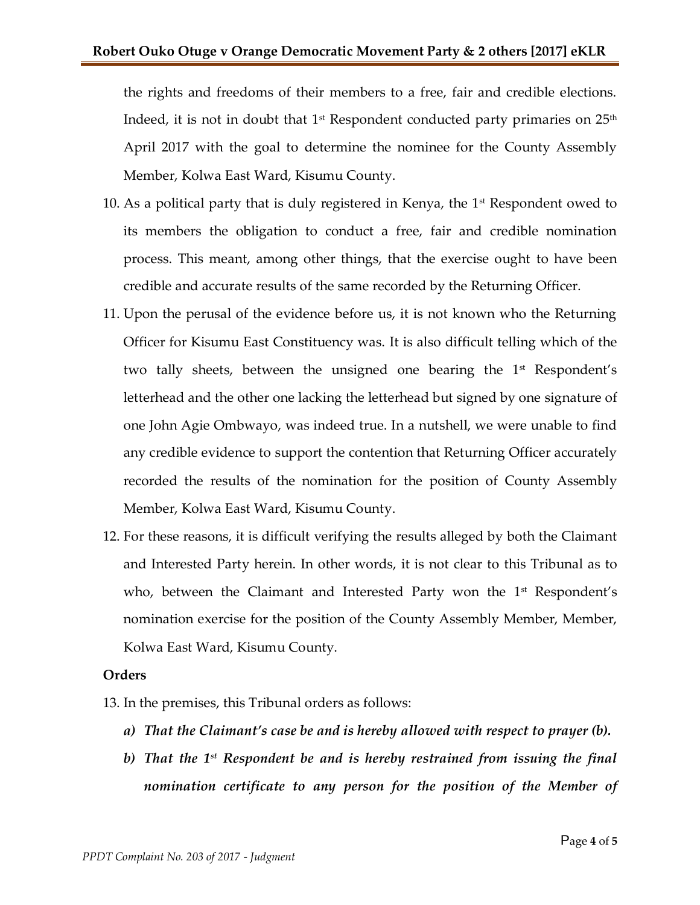the rights and freedoms of their members to a free, fair and credible elections. Indeed, it is not in doubt that  $1^\text{st}$  Respondent conducted party primaries on  $25^\text{th}$ April 2017 with the goal to determine the nominee for the County Assembly Member, Kolwa East Ward, Kisumu County.

- 10. As a political party that is duly registered in Kenya, the  $1<sup>st</sup>$  Respondent owed to its members the obligation to conduct a free, fair and credible nomination process. This meant, among other things, that the exercise ought to have been credible and accurate results of the same recorded by the Returning Officer.
- 11. Upon the perusal of the evidence before us, it is not known who the Returning Officer for Kisumu East Constituency was. It is also difficult telling which of the two tally sheets, between the unsigned one bearing the 1<sup>st</sup> Respondent's letterhead and the other one lacking the letterhead but signed by one signature of one John Agie Ombwayo, was indeed true. In a nutshell, we were unable to find any credible evidence to support the contention that Returning Officer accurately recorded the results of the nomination for the position of County Assembly Member, Kolwa East Ward, Kisumu County.
- 12. For these reasons, it is difficult verifying the results alleged by both the Claimant and Interested Party herein. In other words, it is not clear to this Tribunal as to who, between the Claimant and Interested Party won the 1<sup>st</sup> Respondent's nomination exercise for the position of the County Assembly Member, Member, Kolwa East Ward, Kisumu County.

## **Orders**

13. In the premises, this Tribunal orders as follows:

- *a) That the Claimant's case be and is hereby allowed with respect to prayer (b).*
- *b) That the 1st Respondent be and is hereby restrained from issuing the final nomination certificate to any person for the position of the Member of*